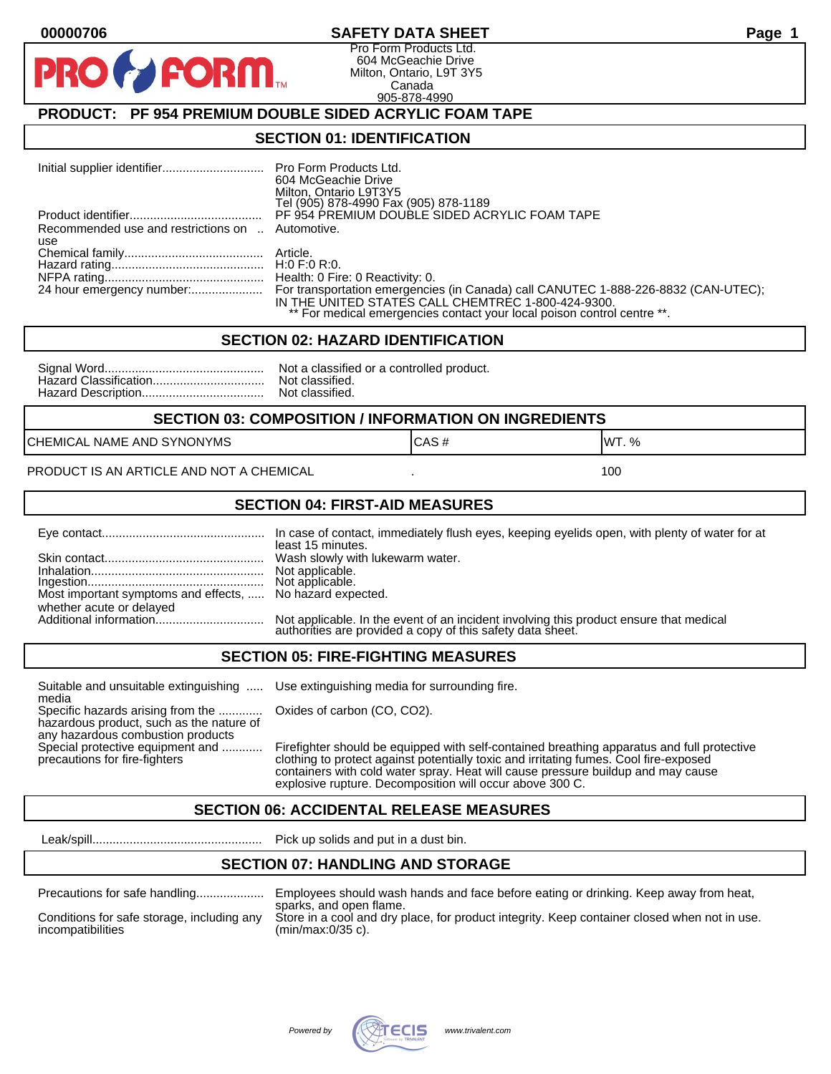### **00000706 SAFETY DATA SHEET Page 1**

Pro Form Products Ltd. 604 McGeachie Drive Milton, Ontario, L9T 3Y5 Canada 905-878-4990

## **PRODUCT: PF 954 PREMIUM DOUBLE SIDED ACRYLIC FOAM TAPE**

**FORM** 

#### **SECTION 01: IDENTIFICATION**

|                                                         | Pro Form Products Ltd.<br>604 McGeachie Drive<br>Milton, Ontario L9T3Y5<br>Tel (905) 878-4990 Fax (905) 878-1189                                                                                                    |
|---------------------------------------------------------|---------------------------------------------------------------------------------------------------------------------------------------------------------------------------------------------------------------------|
|                                                         | PF 954 PREMIUM DOUBLE SIDED ACRYLIC FOAM TAPE                                                                                                                                                                       |
| Recommended use and restrictions on  Automotive.<br>use |                                                                                                                                                                                                                     |
|                                                         |                                                                                                                                                                                                                     |
|                                                         |                                                                                                                                                                                                                     |
|                                                         | Health: 0 Fire: 0 Reactivity: 0.                                                                                                                                                                                    |
| 24 hour emergency number:                               | For transportation emergencies (in Canada) call CANUTEC 1-888-226-8832 (CAN-UTEC);<br>IN THE UNITED STATES CALL CHEMTREC 1-800-424-9300.<br>** For medical emergencies contact your local poison control centre **. |

#### **SECTION 02: HAZARD IDENTIFICATION**

| Not a classified or a controlled product. |
|-------------------------------------------|
|                                           |
|                                           |

#### **SECTION 03: COMPOSITION / INFORMATION ON INGREDIENTS**

CHEMICAL NAME AND SYNONYMS GAS AND CAS # CAS # WT. %

PRODUCT IS AN ARTICLE AND NOT A CHEMICAL **AND THE SET AND A SET ALL ASSAULT** 100

### **SECTION 04: FIRST-AID MEASURES**

|                                                                                       | least 15 minutes.                                                                                                                                    |
|---------------------------------------------------------------------------------------|------------------------------------------------------------------------------------------------------------------------------------------------------|
|                                                                                       |                                                                                                                                                      |
| Most important symptoms and effects,  No hazard expected.<br>whether acute or delayed |                                                                                                                                                      |
|                                                                                       | Not applicable. In the event of an incident involving this product ensure that medical<br>authorities are provided a copy of this safety data sheet. |

#### **SECTION 05: FIRE-FIGHTING MEASURES**

Suitable and unsuitable extinguishing ..... Use extinguishing media for surrounding fire. media

Specific hazards arising from the ............. Oxides of carbon (CO, CO2). hazardous product, such as the nature of any hazardous combustion products

Special protective equipment and ............ Firefighter should be equipped with self-contained breathing apparatus and full protective<br>precautions for fire-fighters continent clothing to protect against potentially toxic clothing to protect against potentially toxic and irritating fumes. Cool fire-exposed containers with cold water spray. Heat will cause pressure buildup and may cause explosive rupture. Decomposition will occur above 300 C.

### **SECTION 06: ACCIDENTAL RELEASE MEASURES**

Leak/spill.................................................. Pick up solids and put in a dust bin.

#### **SECTION 07: HANDLING AND STORAGE**

| Precautions for safe handling |  |  |
|-------------------------------|--|--|
|                               |  |  |

incompatibilities (min/max:0/35 c).

Precautions for safe handling.................... Employees should wash hands and face before eating or drinking. Keep away from heat, sparks, and open flame. Conditions for safe storage, including any Store in a cool and dry place, for product integrity. Keep container closed when not in use.

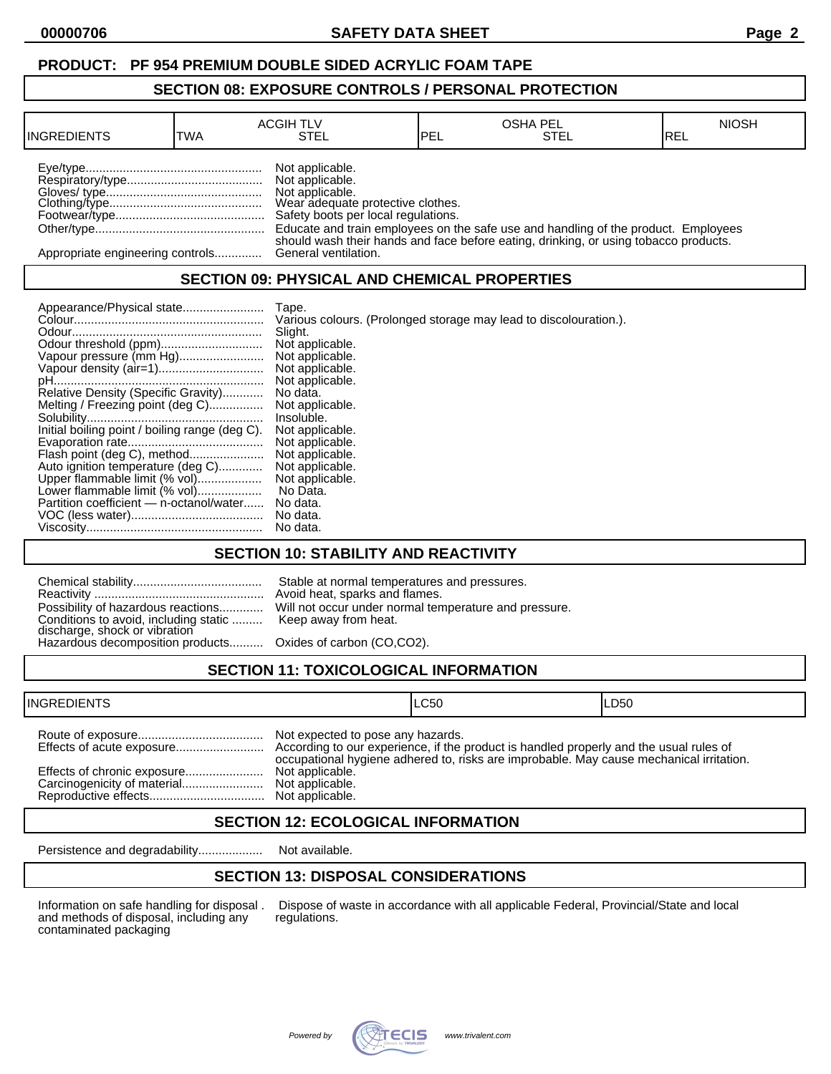#### **PRODUCT: PF 954 PREMIUM DOUBLE SIDED ACRYLIC FOAM TAPE**

#### **SECTION 08: EXPOSURE CONTROLS / PERSONAL PROTECTION**

| IINGREDIENTS                     | TWA | <b>ACGIH TLV</b><br>STEL                                                                                                          | IPEL | <b>OSHA PEL</b><br>STEL                                                              | <b>NIOSH</b><br>IREL |
|----------------------------------|-----|-----------------------------------------------------------------------------------------------------------------------------------|------|--------------------------------------------------------------------------------------|----------------------|
|                                  |     | Not applicable.<br>Not applicable.<br>Not applicable.<br>Wear adequate protective clothes.<br>Safety boots per local regulations. |      | Educate and train employees on the safe use and handling of the product. Employees   |                      |
| Appropriate engineering controls |     | General ventilation.                                                                                                              |      | should wash their hands and face before eating, drinking, or using tobacco products. |                      |

### **SECTION 09: PHYSICAL AND CHEMICAL PROPERTIES**

|                                                | Tape.                                                             |
|------------------------------------------------|-------------------------------------------------------------------|
|                                                | Various colours. (Prolonged storage may lead to discolouration.). |
|                                                | Slight.                                                           |
| Odour threshold (ppm)                          | Not applicable.                                                   |
| Vapour pressure (mm Hg)                        | Not applicable.                                                   |
|                                                | Not applicable.                                                   |
|                                                | Not applicable.                                                   |
| Relative Density (Specific Gravity)            | No data.                                                          |
| Melting / Freezing point (deg C)               | Not applicable.                                                   |
|                                                | Insoluble.                                                        |
| Initial boiling point / boiling range (deg C). | Not applicable.                                                   |
|                                                | Not applicable.                                                   |
| Flash point (deg C), method                    | Not applicable.                                                   |
| Auto ignition temperature (deg C)              | Not applicable.                                                   |
| Upper flammable limit (% vol)                  | Not applicable.                                                   |
| Lower flammable limit (% vol)                  | No Data.                                                          |
| Partition coefficient - n-octanol/water        | No data.                                                          |
|                                                | No data.                                                          |
|                                                | No data.                                                          |

### **SECTION 10: STABILITY AND REACTIVITY**

|                                                                                              | Stable at normal temperatures and pressures.<br>Avoid heat, sparks and flames.           |
|----------------------------------------------------------------------------------------------|------------------------------------------------------------------------------------------|
| Conditions to avoid, including static  Keep away from heat.<br>discharge, shock or vibration | Possibility of hazardous reactions Will not occur under normal temperature and pressure. |
| Hazardous decomposition products Oxides of carbon (CO,CO2).                                  |                                                                                          |

# **SECTION 11: TOXICOLOGICAL INFORMATION**

| <b>INGREDIENTS</b> |                                                                                            | ILC50                                                                                   | ILD50 |
|--------------------|--------------------------------------------------------------------------------------------|-----------------------------------------------------------------------------------------|-------|
|                    | Not expected to pose any hazards.<br>Not applicable.<br>Not applicable.<br>Not applicable. | occupational hygiene adhered to, risks are improbable. May cause mechanical irritation. |       |

### **SECTION 12: ECOLOGICAL INFORMATION**

Persistence and degradability................... Not available.

## **SECTION 13: DISPOSAL CONSIDERATIONS**

and methods of disposal, including any contaminated packaging

Information on safe handling for disposal . Dispose of waste in accordance with all applicable Federal, Provincial/State and local and methods of disposal, including any regulations.